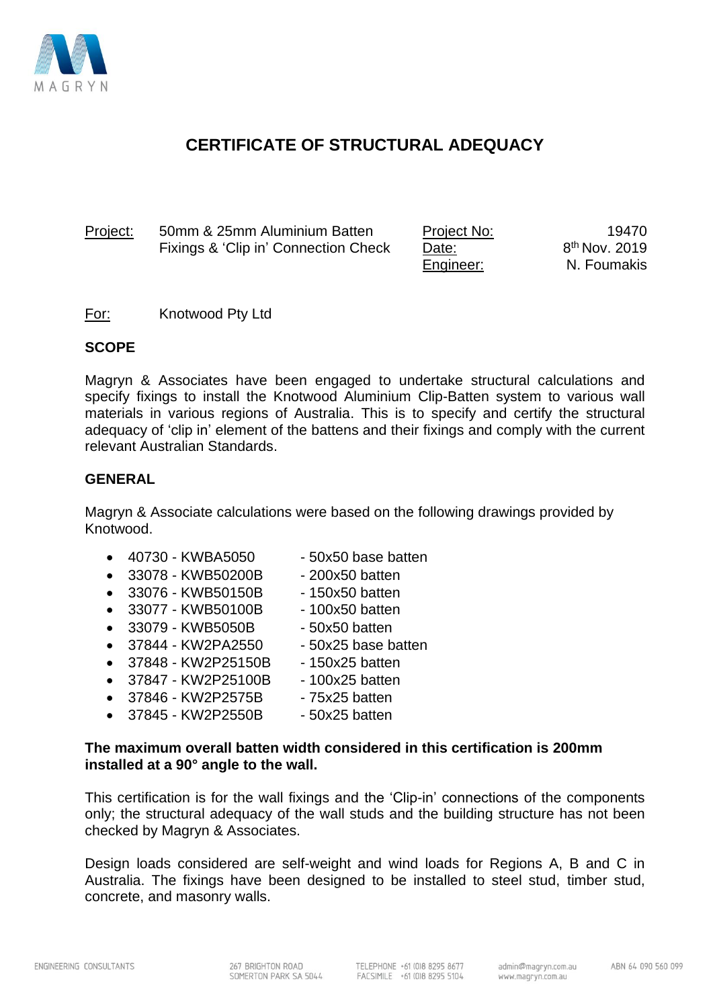

## **CERTIFICATE OF STRUCTURAL ADEQUACY**

Project: 50mm & 25mm Aluminium Batten Fixings & 'Clip in' Connection Check

Project No: Date: Engineer:

19470 8 th Nov. 2019 N. Foumakis

For: Knotwood Pty Ltd

#### **SCOPE**

Magryn & Associates have been engaged to undertake structural calculations and specify fixings to install the Knotwood Aluminium Clip-Batten system to various wall materials in various regions of Australia. This is to specify and certify the structural adequacy of 'clip in' element of the battens and their fixings and comply with the current relevant Australian Standards.

#### **GENERAL**

Magryn & Associate calculations were based on the following drawings provided by Knotwood.

- 40730 KWBA5050 50x50 base batten
	-
- $33078 KWB50200B 200x50$  batten
- 33076 KWB50150B 150x50 batten
- 33077 KWB50100B 100x50 batten
- 33079 KWB5050B 50x50 batten
	- 37844 KW2PA2550 50x25 base batten
- 37848 KW2P25150B 150x25 batten
- 37847 KW2P25100B 100x25 batten
	-
- 37845 KW2P2550B 50x25 batten

#### **The maximum overall batten width considered in this certification is 200mm installed at a 90° angle to the wall.**

This certification is for the wall fixings and the 'Clip-in' connections of the components only; the structural adequacy of the wall studs and the building structure has not been checked by Magryn & Associates.

Design loads considered are self-weight and wind loads for Regions A, B and C in Australia. The fixings have been designed to be installed to steel stud, timber stud, concrete, and masonry walls.

- 
- 37846 KW2P2575B 75x25 batten
- 
-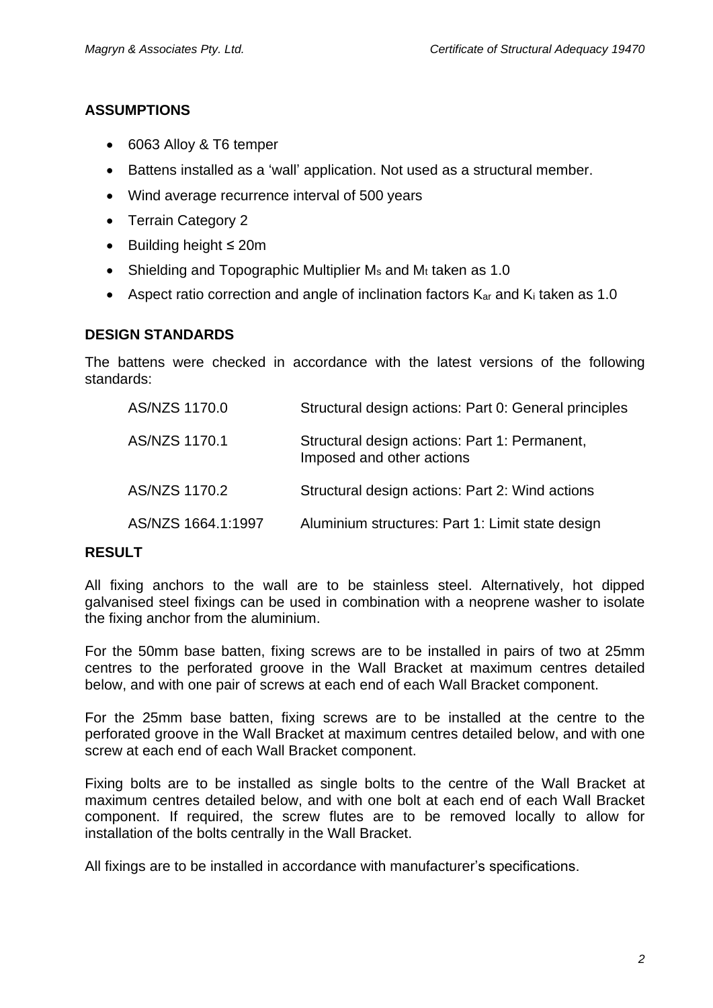#### **ASSUMPTIONS**

- 6063 Alloy & T6 temper
- Battens installed as a 'wall' application. Not used as a structural member.
- Wind average recurrence interval of 500 years
- Terrain Category 2
- Building height ≤ 20m
- Shielding and Topographic Multiplier  $M_s$  and  $M_t$  taken as 1.0
- Aspect ratio correction and angle of inclination factors  $K_{ar}$  and  $K_i$  taken as 1.0

#### **DESIGN STANDARDS**

The battens were checked in accordance with the latest versions of the following standards:

| AS/NZS 1170.0      | Structural design actions: Part 0: General principles                      |
|--------------------|----------------------------------------------------------------------------|
| AS/NZS 1170.1      | Structural design actions: Part 1: Permanent,<br>Imposed and other actions |
| AS/NZS 1170.2      | Structural design actions: Part 2: Wind actions                            |
| AS/NZS 1664.1:1997 | Aluminium structures: Part 1: Limit state design                           |

#### **RESULT**

All fixing anchors to the wall are to be stainless steel. Alternatively, hot dipped galvanised steel fixings can be used in combination with a neoprene washer to isolate the fixing anchor from the aluminium.

For the 50mm base batten, fixing screws are to be installed in pairs of two at 25mm centres to the perforated groove in the Wall Bracket at maximum centres detailed below, and with one pair of screws at each end of each Wall Bracket component.

For the 25mm base batten, fixing screws are to be installed at the centre to the perforated groove in the Wall Bracket at maximum centres detailed below, and with one screw at each end of each Wall Bracket component.

Fixing bolts are to be installed as single bolts to the centre of the Wall Bracket at maximum centres detailed below, and with one bolt at each end of each Wall Bracket component. If required, the screw flutes are to be removed locally to allow for installation of the bolts centrally in the Wall Bracket.

All fixings are to be installed in accordance with manufacturer's specifications.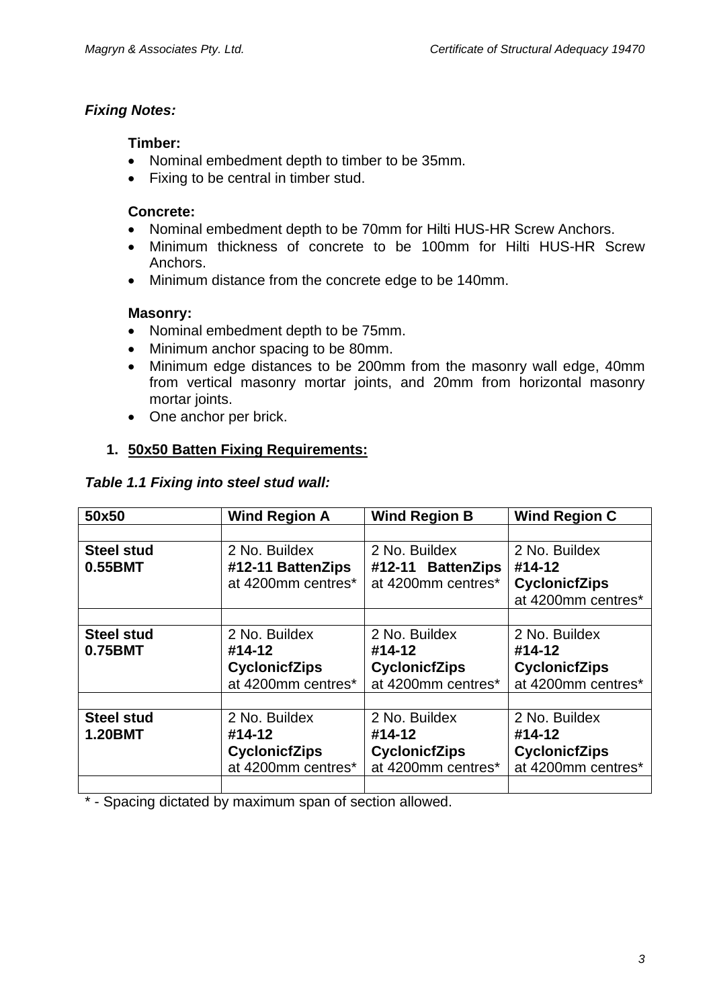#### *Fixing Notes:*

#### **Timber:**

- Nominal embedment depth to timber to be 35mm.
- Fixing to be central in timber stud.

#### **Concrete:**

- Nominal embedment depth to be 70mm for Hilti HUS-HR Screw Anchors.
- Minimum thickness of concrete to be 100mm for Hilti HUS-HR Screw Anchors.
- Minimum distance from the concrete edge to be 140mm.

#### **Masonry:**

- Nominal embedment depth to be 75mm.
- Minimum anchor spacing to be 80mm.
- Minimum edge distances to be 200mm from the masonry wall edge, 40mm from vertical masonry mortar joints, and 20mm from horizontal masonry mortar joints.
- One anchor per brick.

## **1. 50x50 Batten Fixing Requirements:**

#### *Table 1.1 Fixing into steel stud wall:*

| 50x50                               | <b>Wind Region A</b>                                                  | <b>Wind Region B</b>                                                  | <b>Wind Region C</b>                                                  |
|-------------------------------------|-----------------------------------------------------------------------|-----------------------------------------------------------------------|-----------------------------------------------------------------------|
|                                     |                                                                       |                                                                       |                                                                       |
| <b>Steel stud</b><br>0.55BMT        | 2 No. Buildex<br>#12-11 BattenZips                                    | 2 No. Buildex<br>#12-11 BattenZips                                    | 2 No. Buildex<br>#14-12                                               |
|                                     | at 4200mm centres*                                                    | at 4200mm centres*                                                    | <b>CyclonicfZips</b><br>at 4200mm centres*                            |
|                                     |                                                                       |                                                                       |                                                                       |
| <b>Steel stud</b><br>0.75BMT        | 2 No. Buildex<br>#14-12<br><b>CyclonicfZips</b><br>at 4200mm centres* | 2 No. Buildex<br>#14-12<br><b>CyclonicfZips</b><br>at 4200mm centres* | 2 No. Buildex<br>#14-12<br><b>CyclonicfZips</b><br>at 4200mm centres* |
| <b>Steel stud</b><br><b>1.20BMT</b> | 2 No. Buildex<br>#14-12<br><b>CyclonicfZips</b><br>at 4200mm centres* | 2 No. Buildex<br>#14-12<br><b>CyclonicfZips</b><br>at 4200mm centres* | 2 No. Buildex<br>#14-12<br><b>CyclonicfZips</b><br>at 4200mm centres* |

\* - Spacing dictated by maximum span of section allowed.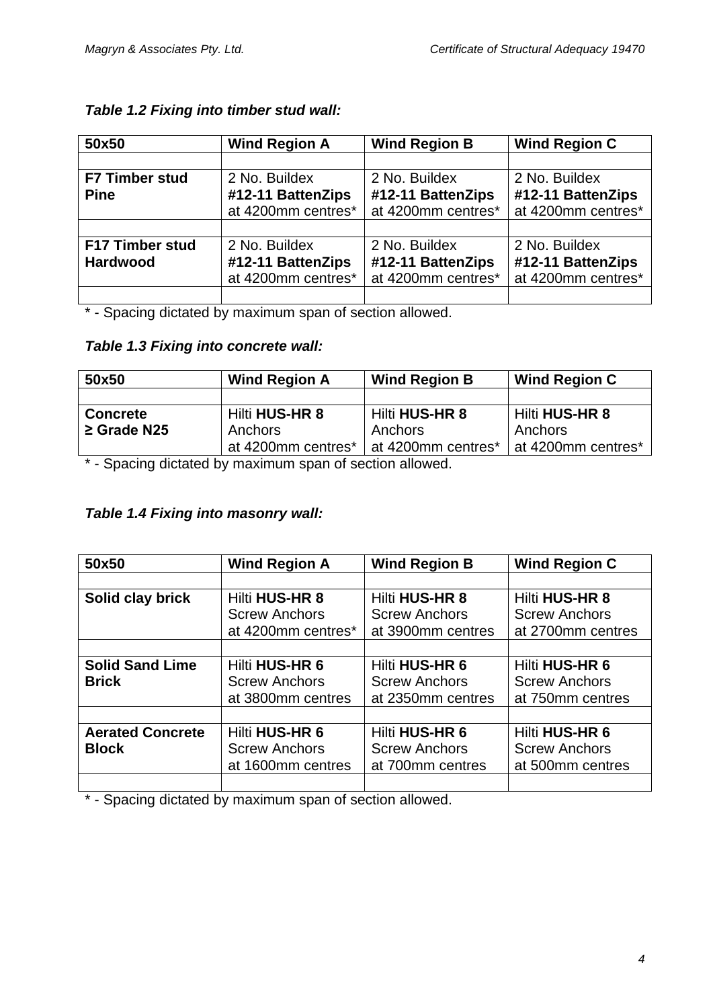| 50x50                 | <b>Wind Region A</b> | <b>Wind Region B</b> | <b>Wind Region C</b> |
|-----------------------|----------------------|----------------------|----------------------|
|                       |                      |                      |                      |
| <b>F7 Timber stud</b> | 2 No. Buildex        | 2 No. Buildex        | 2 No. Buildex        |
| <b>Pine</b>           | #12-11 BattenZips    | #12-11 BattenZips    | #12-11 BattenZips    |
|                       | at 4200mm centres*   | at 4200mm centres*   | at 4200mm centres*   |
|                       |                      |                      |                      |
| F17 Timber stud       | 2 No. Buildex        | 2 No. Buildex        | 2 No. Buildex        |
| <b>Hardwood</b>       | #12-11 BattenZips    | #12-11 BattenZips    | #12-11 BattenZips    |
|                       | at 4200mm centres*   | at 4200mm centres*   | at 4200mm centres*   |
|                       |                      |                      |                      |

#### *Table 1.2 Fixing into timber stud wall:*

\* - Spacing dictated by maximum span of section allowed.

#### *Table 1.3 Fixing into concrete wall:*

| 50x50            | <b>Wind Region A</b> | <b>Wind Region B</b> | <b>Wind Region C</b> |
|------------------|----------------------|----------------------|----------------------|
|                  |                      |                      |                      |
| <b>Concrete</b>  | Hilti HUS-HR 8       | Hilti HUS-HR 8       | Hilti HUS-HR 8       |
| $\geq$ Grade N25 | Anchors              | Anchors              | Anchors              |
|                  | at 4200mm centres*   | at 4200mm centres*   | at 4200mm centres*   |

\* - Spacing dictated by maximum span of section allowed.

## *Table 1.4 Fixing into masonry wall:*

| 50x50                   | <b>Wind Region A</b>  | <b>Wind Region B</b> | <b>Wind Region C</b> |
|-------------------------|-----------------------|----------------------|----------------------|
|                         |                       |                      |                      |
| Solid clay brick        | Hilti HUS-HR 8        | Hilti HUS-HR 8       | Hilti HUS-HR 8       |
|                         | <b>Screw Anchors</b>  | <b>Screw Anchors</b> | <b>Screw Anchors</b> |
|                         | at 4200mm centres*    | at 3900mm centres    | at 2700mm centres    |
|                         |                       |                      |                      |
| <b>Solid Sand Lime</b>  | Hilti HUS-HR 6        | Hilti HUS-HR 6       | Hilti HUS-HR 6       |
| <b>Brick</b>            | <b>Screw Anchors</b>  | <b>Screw Anchors</b> | <b>Screw Anchors</b> |
|                         | at 3800mm centres     | at 2350mm centres    | at 750mm centres     |
|                         |                       |                      |                      |
| <b>Aerated Concrete</b> | <b>Hilti HUS-HR 6</b> | Hilti HUS-HR 6       | Hilti HUS-HR 6       |
| <b>Block</b>            | <b>Screw Anchors</b>  | <b>Screw Anchors</b> | <b>Screw Anchors</b> |
|                         | at 1600mm centres     | at 700mm centres     | at 500mm centres     |
|                         |                       |                      |                      |

\* - Spacing dictated by maximum span of section allowed.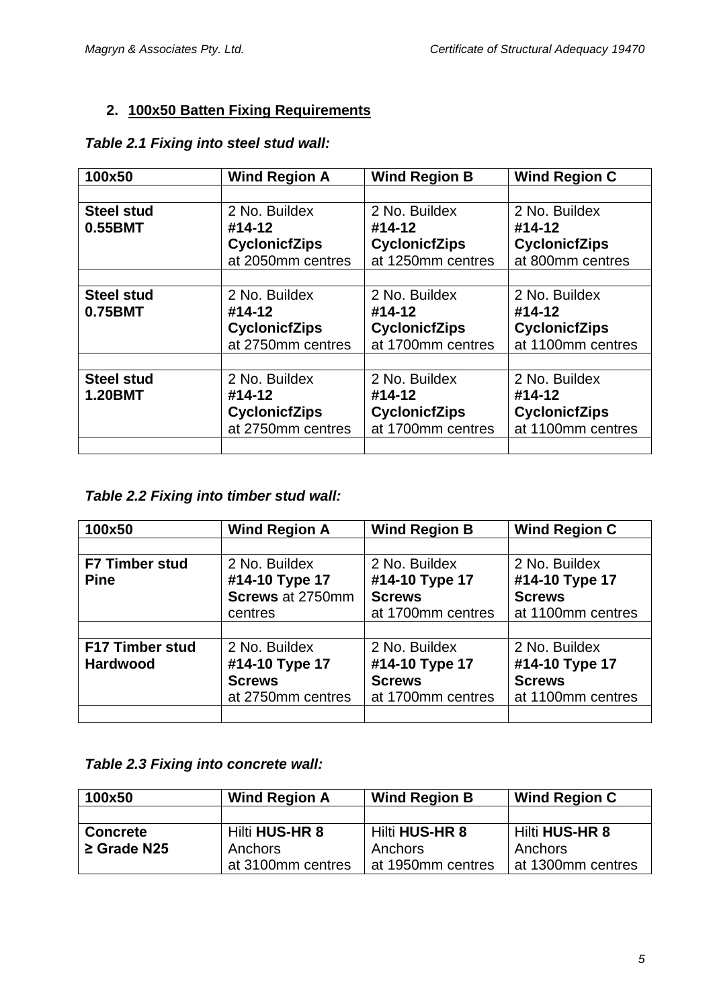## **2. 100x50 Batten Fixing Requirements**

| 100x50            | <b>Wind Region A</b> | <b>Wind Region B</b> | <b>Wind Region C</b> |
|-------------------|----------------------|----------------------|----------------------|
|                   |                      |                      |                      |
| <b>Steel stud</b> | 2 No. Buildex        | 2 No. Buildex        | 2 No. Buildex        |
| 0.55BMT           | #14-12               | #14-12               | #14-12               |
|                   | <b>CyclonicfZips</b> | <b>CyclonicfZips</b> | <b>CyclonicfZips</b> |
|                   | at 2050mm centres    | at 1250mm centres    | at 800mm centres     |
|                   |                      |                      |                      |
| <b>Steel stud</b> | 2 No. Buildex        | 2 No. Buildex        | 2 No. Buildex        |
| 0.75BMT           | #14-12               | #14-12               | #14-12               |
|                   | <b>CyclonicfZips</b> | <b>CyclonicfZips</b> | <b>CyclonicfZips</b> |
|                   | at 2750mm centres    | at 1700mm centres    | at 1100mm centres    |
|                   |                      |                      |                      |
| <b>Steel stud</b> | 2 No. Buildex        | 2 No. Buildex        | 2 No. Buildex        |
| <b>1.20BMT</b>    | #14-12               | #14-12               | #14-12               |
|                   | <b>CyclonicfZips</b> | <b>CyclonicfZips</b> | <b>CyclonicfZips</b> |
|                   | at 2750mm centres    | at 1700mm centres    | at 1100mm centres    |
|                   |                      |                      |                      |

### *Table 2.1 Fixing into steel stud wall:*

# *Table 2.2 Fixing into timber stud wall:*

| 100x50                 | <b>Wind Region A</b> | <b>Wind Region B</b> | <b>Wind Region C</b> |
|------------------------|----------------------|----------------------|----------------------|
|                        |                      |                      |                      |
| <b>F7 Timber stud</b>  | 2 No. Buildex        | 2 No. Buildex        | 2 No. Buildex        |
| <b>Pine</b>            | #14-10 Type 17       | #14-10 Type 17       | #14-10 Type 17       |
|                        | Screws at 2750mm     | <b>Screws</b>        | <b>Screws</b>        |
|                        | centres              | at 1700mm centres    | at 1100mm centres    |
|                        |                      |                      |                      |
| <b>F17 Timber stud</b> | 2 No. Buildex        | 2 No. Buildex        | 2 No. Buildex        |
| <b>Hardwood</b>        | #14-10 Type 17       | #14-10 Type 17       | #14-10 Type 17       |
|                        | <b>Screws</b>        | <b>Screws</b>        | <b>Screws</b>        |
|                        | at 2750mm centres    | at 1700mm centres    | at 1100mm centres    |
|                        |                      |                      |                      |

#### *Table 2.3 Fixing into concrete wall:*

| 100x50           | <b>Wind Region A</b> | <b>Wind Region B</b> | <b>Wind Region C</b> |
|------------------|----------------------|----------------------|----------------------|
|                  |                      |                      |                      |
| <b>Concrete</b>  | Hilti HUS-HR 8       | Hilti HUS-HR 8       | Hilti HUS-HR 8       |
| $\geq$ Grade N25 | Anchors              | Anchors              | Anchors              |
|                  | at 3100mm centres    | at 1950mm centres    | at 1300mm centres    |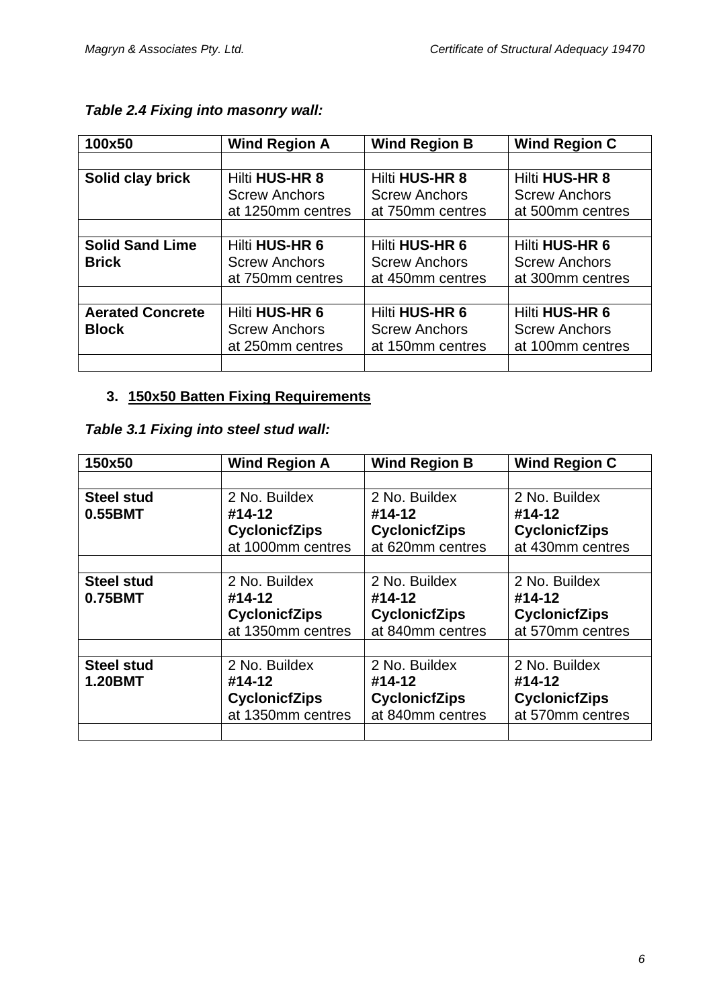| 100x50                  | <b>Wind Region A</b>  | <b>Wind Region B</b>  | <b>Wind Region C</b>  |
|-------------------------|-----------------------|-----------------------|-----------------------|
|                         |                       |                       |                       |
| Solid clay brick        | <b>Hilti HUS-HR 8</b> | <b>Hilti HUS-HR 8</b> | <b>Hilti HUS-HR 8</b> |
|                         | <b>Screw Anchors</b>  | <b>Screw Anchors</b>  | <b>Screw Anchors</b>  |
|                         | at 1250mm centres     | at 750mm centres      | at 500mm centres      |
|                         |                       |                       |                       |
| <b>Solid Sand Lime</b>  | Hilti HUS-HR 6        | Hilti HUS-HR 6        | <b>Hilti HUS-HR 6</b> |
| <b>Brick</b>            | <b>Screw Anchors</b>  | <b>Screw Anchors</b>  | <b>Screw Anchors</b>  |
|                         | at 750mm centres      | at 450mm centres      | at 300mm centres      |
|                         |                       |                       |                       |
| <b>Aerated Concrete</b> | Hilti HUS-HR 6        | Hilti HUS-HR 6        | Hilti HUS-HR 6        |
| <b>Block</b>            | <b>Screw Anchors</b>  | <b>Screw Anchors</b>  | <b>Screw Anchors</b>  |
|                         | at 250mm centres      | at 150mm centres      | at 100mm centres      |
|                         |                       |                       |                       |

## *Table 2.4 Fixing into masonry wall:*

## **3. 150x50 Batten Fixing Requirements**

|  | Table 3.1 Fixing into steel stud wall: |  |  |  |  |  |
|--|----------------------------------------|--|--|--|--|--|
|--|----------------------------------------|--|--|--|--|--|

| 150x50            | <b>Wind Region A</b> | <b>Wind Region B</b> | <b>Wind Region C</b> |
|-------------------|----------------------|----------------------|----------------------|
|                   |                      |                      |                      |
| <b>Steel stud</b> | 2 No. Buildex        | 2 No. Buildex        | 2 No. Buildex        |
| 0.55BMT           | #14-12               | #14-12               | #14-12               |
|                   | <b>CyclonicfZips</b> | <b>CyclonicfZips</b> | <b>CyclonicfZips</b> |
|                   | at 1000mm centres    | at 620mm centres     | at 430mm centres     |
|                   |                      |                      |                      |
| <b>Steel stud</b> | 2 No. Buildex        | 2 No. Buildex        | 2 No. Buildex        |
| 0.75BMT           | #14-12               | #14-12               | #14-12               |
|                   | <b>CyclonicfZips</b> | <b>CyclonicfZips</b> | <b>CyclonicfZips</b> |
|                   | at 1350mm centres    | at 840mm centres     | at 570mm centres     |
|                   |                      |                      |                      |
| <b>Steel stud</b> | 2 No. Buildex        | 2 No. Buildex        | 2 No. Buildex        |
| <b>1.20BMT</b>    | #14-12               | #14-12               | #14-12               |
|                   | <b>CyclonicfZips</b> | <b>CyclonicfZips</b> | <b>CyclonicfZips</b> |
|                   | at 1350mm centres    | at 840mm centres     | at 570mm centres     |
|                   |                      |                      |                      |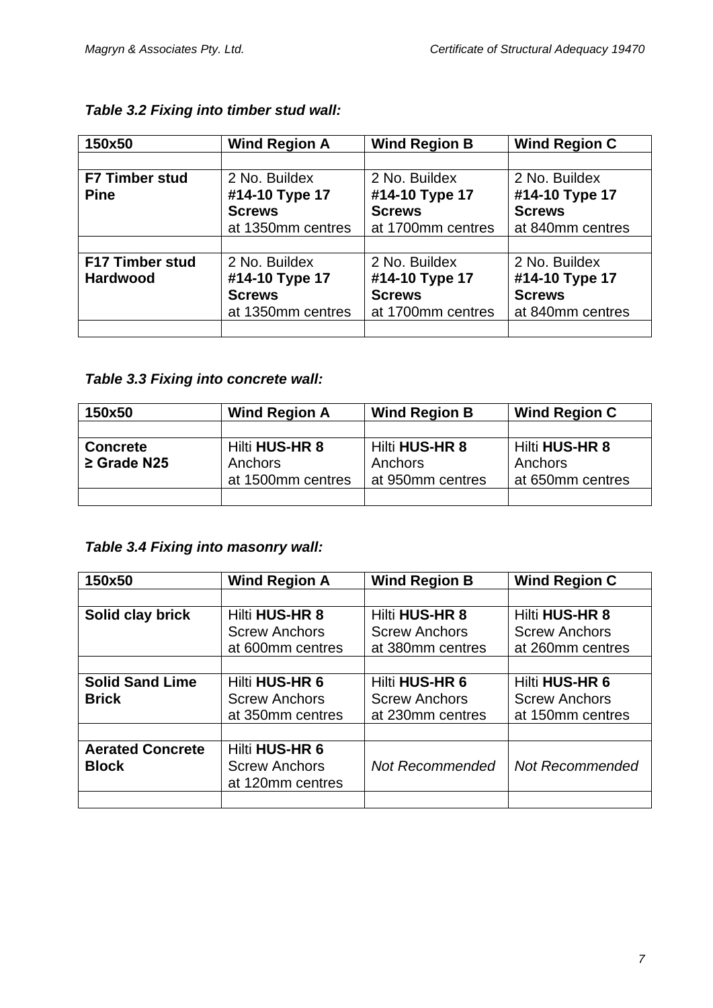| 150x50                 | <b>Wind Region A</b> | <b>Wind Region B</b> | <b>Wind Region C</b> |
|------------------------|----------------------|----------------------|----------------------|
|                        |                      |                      |                      |
| <b>F7 Timber stud</b>  | 2 No. Buildex        | 2 No. Buildex        | 2 No. Buildex        |
| <b>Pine</b>            | #14-10 Type 17       | #14-10 Type 17       | #14-10 Type 17       |
|                        | <b>Screws</b>        | <b>Screws</b>        | <b>Screws</b>        |
|                        | at 1350mm centres    | at 1700mm centres    | at 840mm centres     |
|                        |                      |                      |                      |
| <b>F17 Timber stud</b> | 2 No. Buildex        | 2 No. Buildex        | 2 No. Buildex        |
| <b>Hardwood</b>        | #14-10 Type 17       | #14-10 Type 17       | #14-10 Type 17       |
|                        | <b>Screws</b>        | <b>Screws</b>        | <b>Screws</b>        |
|                        | at 1350mm centres    | at 1700mm centres    | at 840mm centres     |
|                        |                      |                      |                      |

### *Table 3.2 Fixing into timber stud wall:*

## *Table 3.3 Fixing into concrete wall:*

| 150x50           | <b>Wind Region A</b> | <b>Wind Region B</b> | <b>Wind Region C</b>  |
|------------------|----------------------|----------------------|-----------------------|
|                  |                      |                      |                       |
| <b>Concrete</b>  | Hilti HUS-HR 8       | Hilti HUS-HR 8       | <b>Hilti HUS-HR 8</b> |
| $\geq$ Grade N25 | Anchors              | Anchors              | Anchors               |
|                  | at 1500mm centres    | at 950mm centres     | at 650mm centres      |
|                  |                      |                      |                       |

## *Table 3.4 Fixing into masonry wall:*

| 150x50                  | <b>Wind Region A</b> | <b>Wind Region B</b>   | <b>Wind Region C</b>   |
|-------------------------|----------------------|------------------------|------------------------|
|                         |                      |                        |                        |
| Solid clay brick        | Hilti HUS-HR 8       | <b>Hilti HUS-HR 8</b>  | <b>Hilti HUS-HR 8</b>  |
|                         | <b>Screw Anchors</b> | <b>Screw Anchors</b>   | <b>Screw Anchors</b>   |
|                         | at 600mm centres     | at 380mm centres       | at 260mm centres       |
|                         |                      |                        |                        |
| <b>Solid Sand Lime</b>  | Hilti HUS-HR 6       | Hilti HUS-HR 6         | Hilti HUS-HR 6         |
| <b>Brick</b>            | <b>Screw Anchors</b> | <b>Screw Anchors</b>   | <b>Screw Anchors</b>   |
|                         | at 350mm centres     | at 230mm centres       | at 150mm centres       |
|                         |                      |                        |                        |
| <b>Aerated Concrete</b> | Hilti HUS-HR 6       |                        |                        |
| <b>Block</b>            | <b>Screw Anchors</b> | <b>Not Recommended</b> | <b>Not Recommended</b> |
|                         | at 120mm centres     |                        |                        |
|                         |                      |                        |                        |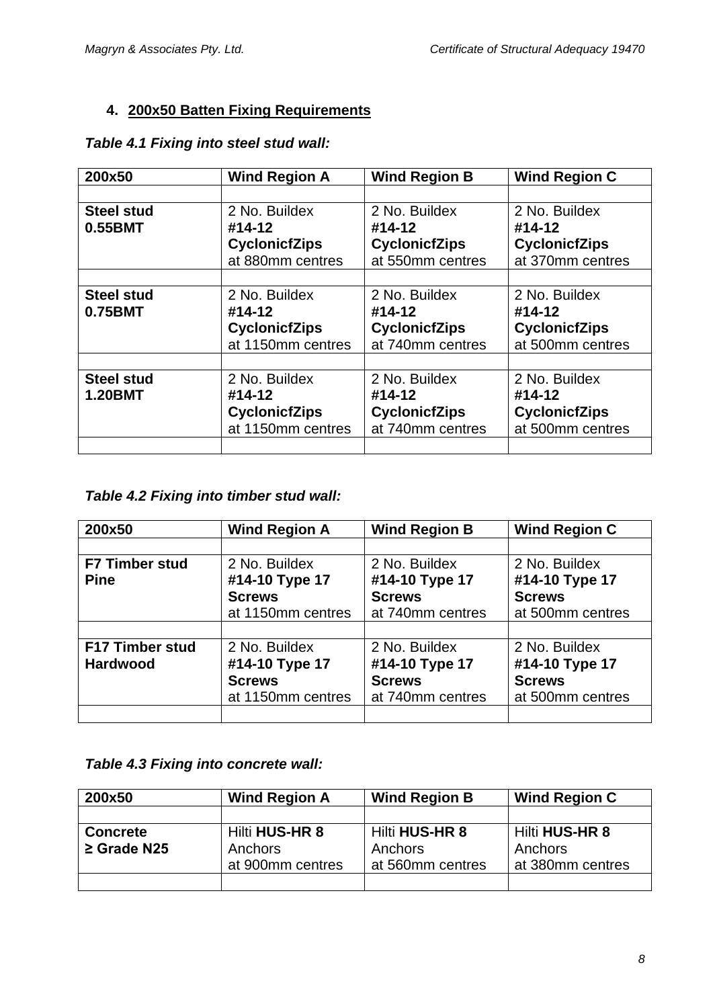## **4. 200x50 Batten Fixing Requirements**

| 200x50            | <b>Wind Region A</b> | <b>Wind Region B</b> | <b>Wind Region C</b> |
|-------------------|----------------------|----------------------|----------------------|
|                   |                      |                      |                      |
| <b>Steel stud</b> | 2 No. Buildex        | 2 No. Buildex        | 2 No. Buildex        |
| 0.55BMT           | #14-12               | #14-12               | #14-12               |
|                   | <b>CyclonicfZips</b> | <b>CyclonicfZips</b> | <b>CyclonicfZips</b> |
|                   | at 880mm centres     | at 550mm centres     | at 370mm centres     |
|                   |                      |                      |                      |
| <b>Steel stud</b> | 2 No. Buildex        | 2 No. Buildex        | 2 No. Buildex        |
| 0.75BMT           | #14-12               | #14-12               | #14-12               |
|                   | <b>CyclonicfZips</b> | <b>CyclonicfZips</b> | <b>CyclonicfZips</b> |
|                   | at 1150mm centres    | at 740mm centres     | at 500mm centres     |
|                   |                      |                      |                      |
| <b>Steel stud</b> | 2 No. Buildex        | 2 No. Buildex        | 2 No. Buildex        |
| <b>1.20BMT</b>    | #14-12               | #14-12               | #14-12               |
|                   | <b>CyclonicfZips</b> | <b>CyclonicfZips</b> | <b>CyclonicfZips</b> |
|                   | at 1150mm centres    | at 740mm centres     | at 500mm centres     |
|                   |                      |                      |                      |

### *Table 4.1 Fixing into steel stud wall:*

### *Table 4.2 Fixing into timber stud wall:*

| 200x50                 | <b>Wind Region A</b> | <b>Wind Region B</b> | <b>Wind Region C</b> |
|------------------------|----------------------|----------------------|----------------------|
|                        |                      |                      |                      |
| <b>F7 Timber stud</b>  | 2 No. Buildex        | 2 No. Buildex        | 2 No. Buildex        |
| <b>Pine</b>            | #14-10 Type 17       | #14-10 Type 17       | #14-10 Type 17       |
|                        | <b>Screws</b>        | <b>Screws</b>        | <b>Screws</b>        |
|                        | at 1150mm centres    | at 740mm centres     | at 500mm centres     |
|                        |                      |                      |                      |
| <b>F17 Timber stud</b> | 2 No. Buildex        | 2 No. Buildex        | 2 No. Buildex        |
| <b>Hardwood</b>        | #14-10 Type 17       | #14-10 Type 17       | #14-10 Type 17       |
|                        | <b>Screws</b>        | <b>Screws</b>        | <b>Screws</b>        |
|                        | at 1150mm centres    | at 740mm centres     | at 500mm centres     |
|                        |                      |                      |                      |

#### *Table 4.3 Fixing into concrete wall:*

| 200x50           | <b>Wind Region A</b> | <b>Wind Region B</b> | <b>Wind Region C</b>  |
|------------------|----------------------|----------------------|-----------------------|
|                  |                      |                      |                       |
| <b>Concrete</b>  | Hilti HUS-HR 8       | Hilti HUS-HR 8       | <b>Hilti HUS-HR 8</b> |
| $\geq$ Grade N25 | Anchors              | Anchors              | Anchors               |
|                  | at 900mm centres     | at 560mm centres     | at 380mm centres      |
|                  |                      |                      |                       |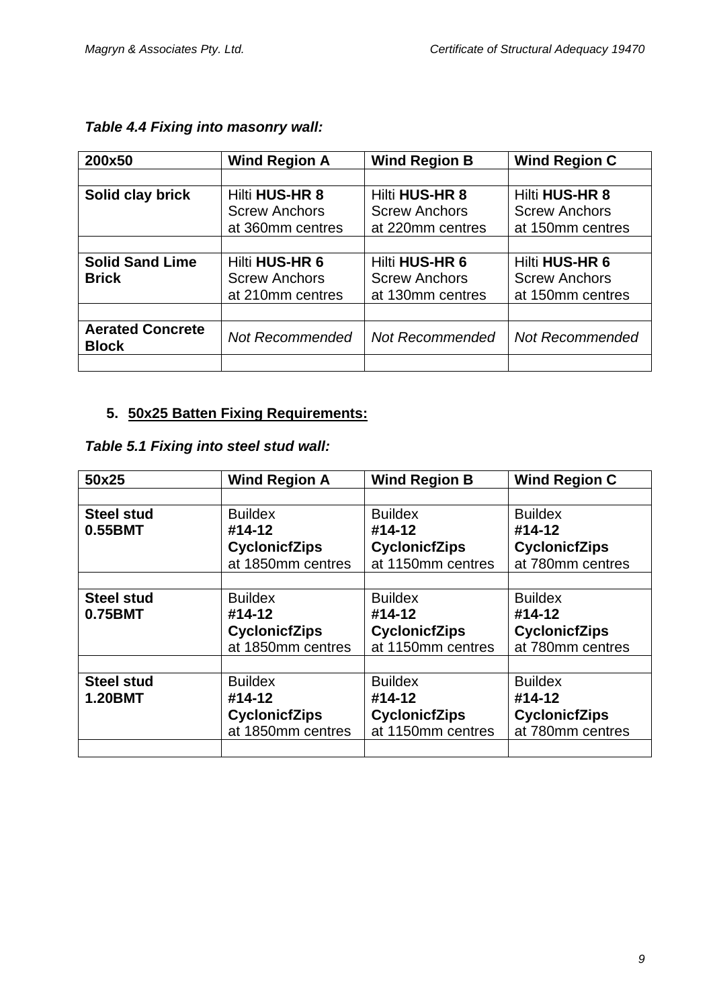| 200x50                                  | <b>Wind Region A</b>  | <b>Wind Region B</b>   | <b>Wind Region C</b>   |
|-----------------------------------------|-----------------------|------------------------|------------------------|
|                                         |                       |                        |                        |
| Solid clay brick                        | <b>Hilti HUS-HR 8</b> | <b>Hilti HUS-HR 8</b>  | <b>Hilti HUS-HR 8</b>  |
|                                         | <b>Screw Anchors</b>  | <b>Screw Anchors</b>   | <b>Screw Anchors</b>   |
|                                         | at 360mm centres      | at 220mm centres       | at 150mm centres       |
|                                         |                       |                        |                        |
| <b>Solid Sand Lime</b>                  | Hilti HUS-HR 6        | Hilti HUS-HR 6         | Hilti HUS-HR 6         |
| <b>Brick</b>                            | <b>Screw Anchors</b>  | <b>Screw Anchors</b>   | <b>Screw Anchors</b>   |
|                                         | at 210mm centres      | at 130mm centres       | at 150mm centres       |
|                                         |                       |                        |                        |
| <b>Aerated Concrete</b><br><b>Block</b> | Not Recommended       | <b>Not Recommended</b> | <b>Not Recommended</b> |
|                                         |                       |                        |                        |

## **5. 50x25 Batten Fixing Requirements:**

| Table 5.1 Fixing into steel stud wall: |  |  |  |  |  |
|----------------------------------------|--|--|--|--|--|
|----------------------------------------|--|--|--|--|--|

| 50x25             | <b>Wind Region A</b> | <b>Wind Region B</b> | <b>Wind Region C</b> |
|-------------------|----------------------|----------------------|----------------------|
|                   |                      |                      |                      |
| <b>Steel stud</b> | <b>Buildex</b>       | <b>Buildex</b>       | <b>Buildex</b>       |
| 0.55BMT           | #14-12               | #14-12               | #14-12               |
|                   | <b>CyclonicfZips</b> | <b>CyclonicfZips</b> | <b>CyclonicfZips</b> |
|                   | at 1850mm centres    | at 1150mm centres    | at 780mm centres     |
|                   |                      |                      |                      |
| <b>Steel stud</b> | <b>Buildex</b>       | <b>Buildex</b>       | <b>Buildex</b>       |
| 0.75BMT           | #14-12               | #14-12               | #14-12               |
|                   | <b>CyclonicfZips</b> | <b>CyclonicfZips</b> | <b>CyclonicfZips</b> |
|                   | at 1850mm centres    | at 1150mm centres    | at 780mm centres     |
|                   |                      |                      |                      |
| <b>Steel stud</b> | <b>Buildex</b>       | <b>Buildex</b>       | <b>Buildex</b>       |
| <b>1.20BMT</b>    | #14-12               | #14-12               | #14-12               |
|                   | <b>CyclonicfZips</b> | <b>CyclonicfZips</b> | <b>CyclonicfZips</b> |
|                   | at 1850mm centres    | at 1150mm centres    | at 780mm centres     |
|                   |                      |                      |                      |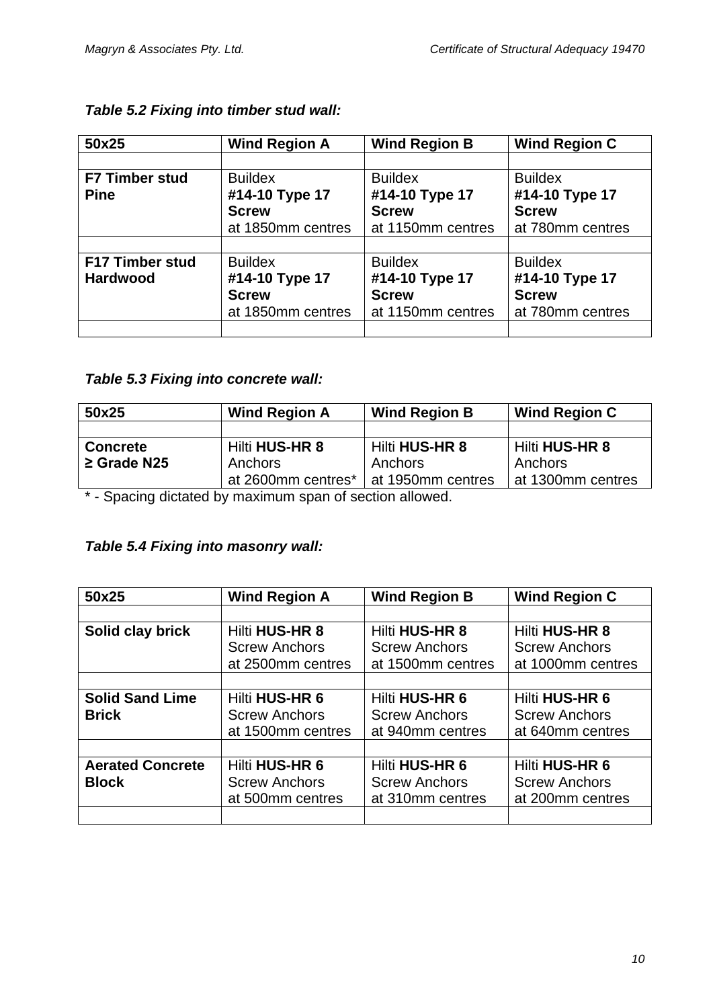| 50x25                  | <b>Wind Region A</b> | <b>Wind Region B</b> | <b>Wind Region C</b> |
|------------------------|----------------------|----------------------|----------------------|
|                        |                      |                      |                      |
| <b>F7 Timber stud</b>  | <b>Buildex</b>       | <b>Buildex</b>       | <b>Buildex</b>       |
| <b>Pine</b>            | #14-10 Type 17       | #14-10 Type 17       | #14-10 Type 17       |
|                        | <b>Screw</b>         | <b>Screw</b>         | <b>Screw</b>         |
|                        | at 1850mm centres    | at 1150mm centres    | at 780mm centres     |
|                        |                      |                      |                      |
| <b>F17 Timber stud</b> | <b>Buildex</b>       | <b>Buildex</b>       | <b>Buildex</b>       |
| <b>Hardwood</b>        | #14-10 Type 17       | #14-10 Type 17       | #14-10 Type 17       |
|                        | <b>Screw</b>         | <b>Screw</b>         | <b>Screw</b>         |
|                        | at 1850mm centres    | at 1150mm centres    | at 780mm centres     |
|                        |                      |                      |                      |

## *Table 5.2 Fixing into timber stud wall:*

## *Table 5.3 Fixing into concrete wall:*

| 50x25            | <b>Wind Region A</b>  | <b>Wind Region B</b> | <b>Wind Region C</b>  |
|------------------|-----------------------|----------------------|-----------------------|
|                  |                       |                      |                       |
| <b>Concrete</b>  | <b>Hilti HUS-HR 8</b> | Hilti HUS-HR 8       | <b>Hilti HUS-HR 8</b> |
| $\geq$ Grade N25 | Anchors               | Anchors              | Anchors               |
|                  | at 2600mm centres*    | at 1950mm centres    | at 1300mm centres     |

\* - Spacing dictated by maximum span of section allowed.

## *Table 5.4 Fixing into masonry wall:*

| 50x25                   | <b>Wind Region A</b>  | <b>Wind Region B</b>  | <b>Wind Region C</b>  |
|-------------------------|-----------------------|-----------------------|-----------------------|
|                         |                       |                       |                       |
| Solid clay brick        | <b>Hilti HUS-HR 8</b> | <b>Hilti HUS-HR 8</b> | <b>Hilti HUS-HR 8</b> |
|                         | <b>Screw Anchors</b>  | <b>Screw Anchors</b>  | <b>Screw Anchors</b>  |
|                         | at 2500mm centres     | at 1500mm centres     | at 1000mm centres     |
|                         |                       |                       |                       |
| <b>Solid Sand Lime</b>  | <b>Hilti HUS-HR 6</b> | Hilti HUS-HR 6        | Hilti HUS-HR 6        |
| <b>Brick</b>            | <b>Screw Anchors</b>  | <b>Screw Anchors</b>  | <b>Screw Anchors</b>  |
|                         | at 1500mm centres     | at 940mm centres      | at 640mm centres      |
|                         |                       |                       |                       |
| <b>Aerated Concrete</b> | Hilti HUS-HR 6        | Hilti HUS-HR 6        | Hilti HUS-HR 6        |
| <b>Block</b>            | <b>Screw Anchors</b>  | <b>Screw Anchors</b>  | <b>Screw Anchors</b>  |
|                         | at 500mm centres      | at 310mm centres      | at 200mm centres      |
|                         |                       |                       |                       |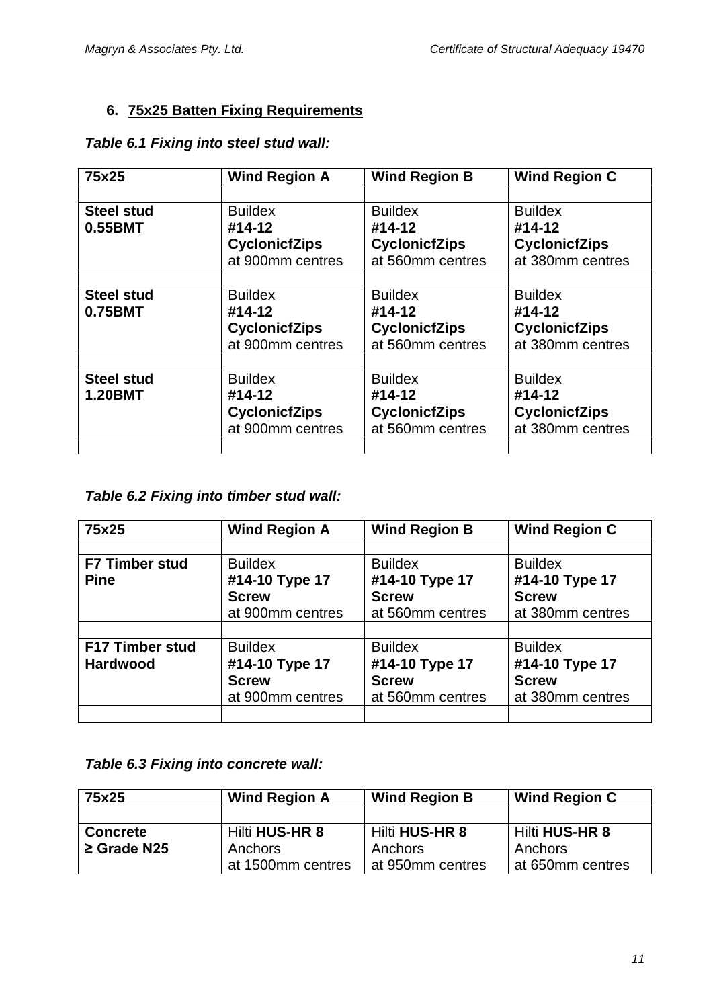## **6. 75x25 Batten Fixing Requirements**

## *Table 6.1 Fixing into steel stud wall:*

| 75x25             | <b>Wind Region A</b> | <b>Wind Region B</b> | <b>Wind Region C</b> |
|-------------------|----------------------|----------------------|----------------------|
|                   |                      |                      |                      |
| <b>Steel stud</b> | <b>Buildex</b>       | <b>Buildex</b>       | <b>Buildex</b>       |
| 0.55BMT           | #14-12               | #14-12               | #14-12               |
|                   | <b>CyclonicfZips</b> | <b>CyclonicfZips</b> | <b>CyclonicfZips</b> |
|                   | at 900mm centres     | at 560mm centres     | at 380mm centres     |
|                   |                      |                      |                      |
| <b>Steel stud</b> | <b>Buildex</b>       | <b>Buildex</b>       | <b>Buildex</b>       |
| 0.75BMT           | #14-12               | #14-12               | #14-12               |
|                   | <b>CyclonicfZips</b> | <b>CyclonicfZips</b> | <b>CyclonicfZips</b> |
|                   | at 900mm centres     | at 560mm centres     | at 380mm centres     |
|                   |                      |                      |                      |
| <b>Steel stud</b> | <b>Buildex</b>       | <b>Buildex</b>       | <b>Buildex</b>       |
| <b>1.20BMT</b>    | #14-12               | #14-12               | #14-12               |
|                   | <b>CyclonicfZips</b> | <b>CyclonicfZips</b> | <b>CyclonicfZips</b> |
|                   | at 900mm centres     | at 560mm centres     | at 380mm centres     |
|                   |                      |                      |                      |

## *Table 6.2 Fixing into timber stud wall:*

| 75x25                                     | <b>Wind Region A</b>                                                 | <b>Wind Region B</b>                                                 | <b>Wind Region C</b>                                                 |
|-------------------------------------------|----------------------------------------------------------------------|----------------------------------------------------------------------|----------------------------------------------------------------------|
|                                           |                                                                      |                                                                      |                                                                      |
| <b>F7 Timber stud</b><br><b>Pine</b>      | <b>Buildex</b><br>#14-10 Type 17<br><b>Screw</b><br>at 900mm centres | <b>Buildex</b><br>#14-10 Type 17<br><b>Screw</b><br>at 560mm centres | <b>Buildex</b><br>#14-10 Type 17<br><b>Screw</b><br>at 380mm centres |
|                                           |                                                                      |                                                                      |                                                                      |
| <b>F17 Timber stud</b><br><b>Hardwood</b> | <b>Buildex</b><br>#14-10 Type 17<br><b>Screw</b><br>at 900mm centres | <b>Buildex</b><br>#14-10 Type 17<br><b>Screw</b><br>at 560mm centres | <b>Buildex</b><br>#14-10 Type 17<br><b>Screw</b><br>at 380mm centres |
|                                           |                                                                      |                                                                      |                                                                      |

#### *Table 6.3 Fixing into concrete wall:*

| 75x25            | <b>Wind Region A</b> | <b>Wind Region B</b> | <b>Wind Region C</b> |
|------------------|----------------------|----------------------|----------------------|
|                  |                      |                      |                      |
| <b>Concrete</b>  | Hilti HUS-HR 8       | Hilti HUS-HR 8       | Hilti HUS-HR 8       |
| $\geq$ Grade N25 | Anchors              | Anchors              | Anchors              |
|                  | at 1500mm centres    | at 950mm centres     | at 650mm centres     |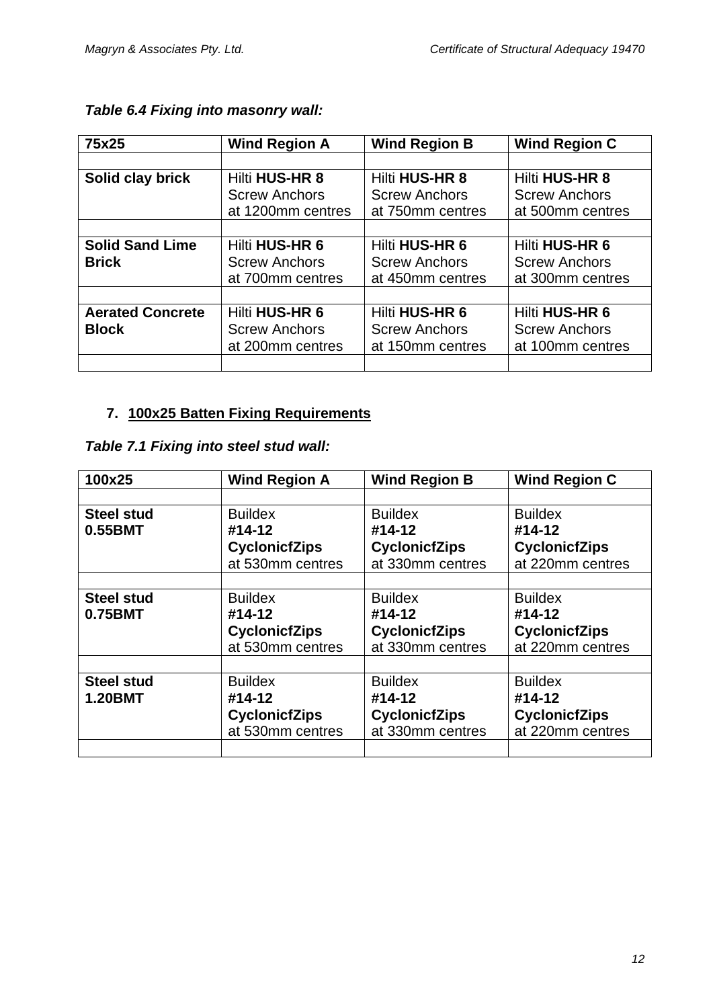| 75x25                   | <b>Wind Region A</b>  | <b>Wind Region B</b>  | <b>Wind Region C</b>  |
|-------------------------|-----------------------|-----------------------|-----------------------|
|                         |                       |                       |                       |
| Solid clay brick        | <b>Hilti HUS-HR 8</b> | <b>Hilti HUS-HR 8</b> | <b>Hilti HUS-HR 8</b> |
|                         | <b>Screw Anchors</b>  | <b>Screw Anchors</b>  | <b>Screw Anchors</b>  |
|                         | at 1200mm centres     | at 750mm centres      | at 500mm centres      |
|                         |                       |                       |                       |
| <b>Solid Sand Lime</b>  | <b>Hilti HUS-HR 6</b> | Hilti HUS-HR 6        | Hilti HUS-HR 6        |
| <b>Brick</b>            | <b>Screw Anchors</b>  | <b>Screw Anchors</b>  | <b>Screw Anchors</b>  |
|                         | at 700mm centres      | at 450mm centres      | at 300mm centres      |
|                         |                       |                       |                       |
| <b>Aerated Concrete</b> | <b>Hilti HUS-HR 6</b> | <b>Hilti HUS-HR 6</b> | Hilti HUS-HR 6        |
| <b>Block</b>            | <b>Screw Anchors</b>  | <b>Screw Anchors</b>  | <b>Screw Anchors</b>  |
|                         | at 200mm centres      | at 150mm centres      | at 100mm centres      |
|                         |                       |                       |                       |

## *Table 6.4 Fixing into masonry wall:*

## **7. 100x25 Batten Fixing Requirements**

## *Table 7.1 Fixing into steel stud wall:*

| 100x25            | <b>Wind Region A</b> | <b>Wind Region B</b> | <b>Wind Region C</b> |
|-------------------|----------------------|----------------------|----------------------|
|                   |                      |                      |                      |
| <b>Steel stud</b> | <b>Buildex</b>       | <b>Buildex</b>       | <b>Buildex</b>       |
| 0.55BMT           | #14-12               | #14-12               | #14-12               |
|                   | <b>CyclonicfZips</b> | <b>CyclonicfZips</b> | <b>CyclonicfZips</b> |
|                   | at 530mm centres     | at 330mm centres     | at 220mm centres     |
|                   |                      |                      |                      |
| <b>Steel stud</b> | <b>Buildex</b>       | <b>Buildex</b>       | <b>Buildex</b>       |
| 0.75BMT           | #14-12               | #14-12               | #14-12               |
|                   | <b>CyclonicfZips</b> | <b>CyclonicfZips</b> | <b>CyclonicfZips</b> |
|                   | at 530mm centres     | at 330mm centres     | at 220mm centres     |
|                   |                      |                      |                      |
| <b>Steel stud</b> | <b>Buildex</b>       | <b>Buildex</b>       | <b>Buildex</b>       |
| <b>1.20BMT</b>    | #14-12               | #14-12               | #14-12               |
|                   | <b>CyclonicfZips</b> | <b>CyclonicfZips</b> | <b>CyclonicfZips</b> |
|                   | at 530mm centres     | at 330mm centres     | at 220mm centres     |
|                   |                      |                      |                      |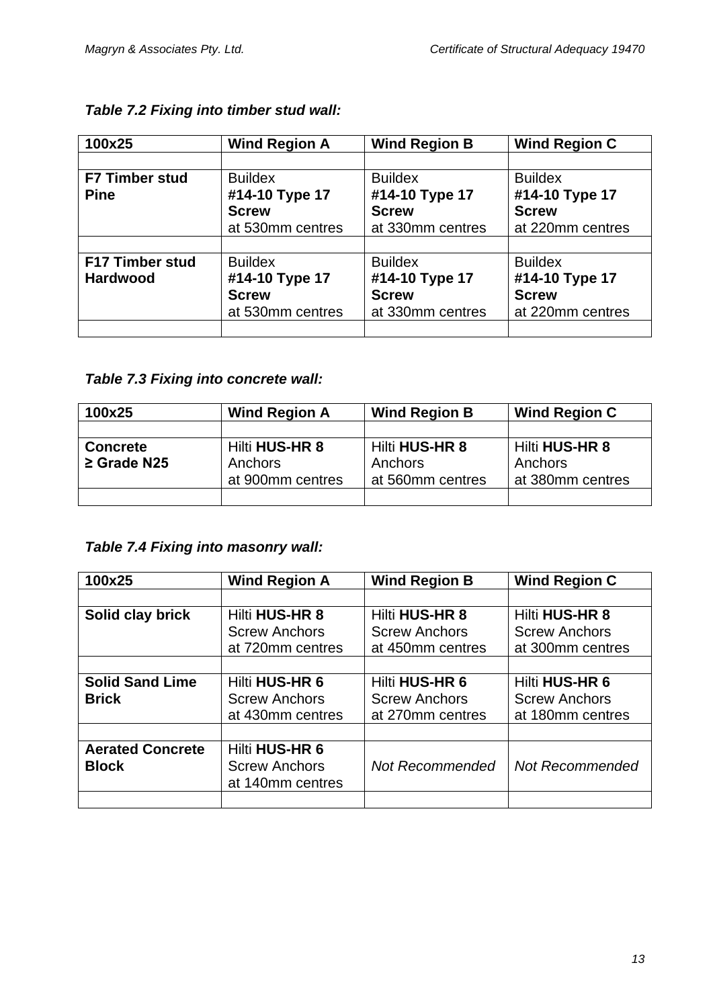| 100x25                 | <b>Wind Region A</b> | <b>Wind Region B</b> | <b>Wind Region C</b> |
|------------------------|----------------------|----------------------|----------------------|
|                        |                      |                      |                      |
| <b>F7 Timber stud</b>  | <b>Buildex</b>       | <b>Buildex</b>       | <b>Buildex</b>       |
| <b>Pine</b>            | #14-10 Type 17       | #14-10 Type 17       | #14-10 Type 17       |
|                        | <b>Screw</b>         | <b>Screw</b>         | <b>Screw</b>         |
|                        | at 530mm centres     | at 330mm centres     | at 220mm centres     |
|                        |                      |                      |                      |
| <b>F17 Timber stud</b> | <b>Buildex</b>       | <b>Buildex</b>       | <b>Buildex</b>       |
| <b>Hardwood</b>        | #14-10 Type 17       | #14-10 Type 17       | #14-10 Type 17       |
|                        | <b>Screw</b>         | <b>Screw</b>         | <b>Screw</b>         |
|                        | at 530mm centres     | at 330mm centres     | at 220mm centres     |
|                        |                      |                      |                      |

## *Table 7.2 Fixing into timber stud wall:*

## *Table 7.3 Fixing into concrete wall:*

| 100x25           | <b>Wind Region A</b> | <b>Wind Region B</b> | <b>Wind Region C</b>  |
|------------------|----------------------|----------------------|-----------------------|
|                  |                      |                      |                       |
| <b>Concrete</b>  | Hilti HUS-HR 8       | Hilti HUS-HR 8       | <b>Hilti HUS-HR 8</b> |
| $\geq$ Grade N25 | Anchors              | Anchors              | Anchors               |
|                  | at 900mm centres     | at 560mm centres     | at 380mm centres      |
|                  |                      |                      |                       |

## *Table 7.4 Fixing into masonry wall:*

| 100x25                  | <b>Wind Region A</b> | <b>Wind Region B</b>   | <b>Wind Region C</b>   |
|-------------------------|----------------------|------------------------|------------------------|
|                         |                      |                        |                        |
| Solid clay brick        | Hilti HUS-HR 8       | <b>Hilti HUS-HR 8</b>  | <b>Hilti HUS-HR 8</b>  |
|                         | <b>Screw Anchors</b> | <b>Screw Anchors</b>   | <b>Screw Anchors</b>   |
|                         | at 720mm centres     | at 450mm centres       | at 300mm centres       |
|                         |                      |                        |                        |
| <b>Solid Sand Lime</b>  | Hilti HUS-HR 6       | <b>Hilti HUS-HR 6</b>  | Hilti HUS-HR 6         |
| <b>Brick</b>            | <b>Screw Anchors</b> | <b>Screw Anchors</b>   | <b>Screw Anchors</b>   |
|                         | at 430mm centres     | at 270mm centres       | at 180mm centres       |
|                         |                      |                        |                        |
| <b>Aerated Concrete</b> | Hilti HUS-HR 6       |                        |                        |
| <b>Block</b>            | <b>Screw Anchors</b> | <b>Not Recommended</b> | <b>Not Recommended</b> |
|                         | at 140mm centres     |                        |                        |
|                         |                      |                        |                        |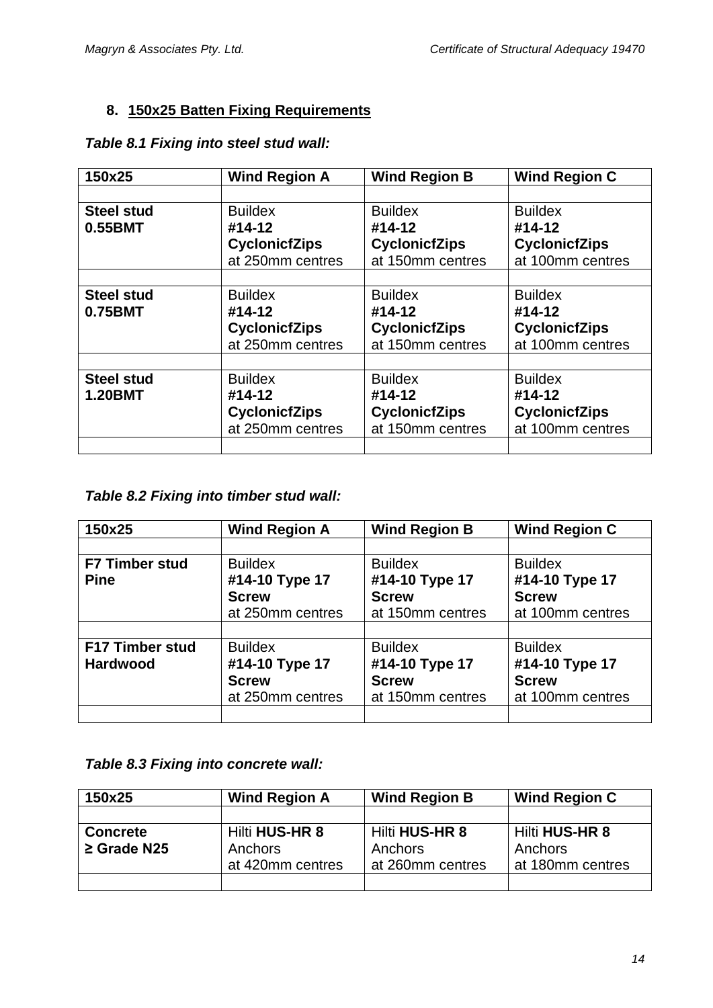## **8. 150x25 Batten Fixing Requirements**

| 150x25            | <b>Wind Region A</b> | <b>Wind Region B</b> | <b>Wind Region C</b> |
|-------------------|----------------------|----------------------|----------------------|
|                   |                      |                      |                      |
| <b>Steel stud</b> | <b>Buildex</b>       | <b>Buildex</b>       | <b>Buildex</b>       |
| 0.55BMT           | #14-12               | #14-12               | #14-12               |
|                   | <b>CyclonicfZips</b> | <b>CyclonicfZips</b> | <b>CyclonicfZips</b> |
|                   | at 250mm centres     | at 150mm centres     | at 100mm centres     |
|                   |                      |                      |                      |
| <b>Steel stud</b> | <b>Buildex</b>       | <b>Buildex</b>       | <b>Buildex</b>       |
| 0.75BMT           | #14-12               | #14-12               | #14-12               |
|                   | <b>CyclonicfZips</b> | <b>CyclonicfZips</b> | <b>CyclonicfZips</b> |
|                   | at 250mm centres     | at 150mm centres     | at 100mm centres     |
|                   |                      |                      |                      |
| <b>Steel stud</b> | <b>Buildex</b>       | <b>Buildex</b>       | <b>Buildex</b>       |
| <b>1.20BMT</b>    | #14-12               | #14-12               | #14-12               |
|                   | <b>CyclonicfZips</b> | <b>CyclonicfZips</b> | <b>CyclonicfZips</b> |
|                   | at 250mm centres     | at 150mm centres     | at 100mm centres     |
|                   |                      |                      |                      |

### *Table 8.1 Fixing into steel stud wall:*

# *Table 8.2 Fixing into timber stud wall:*

| 150x25                 | <b>Wind Region A</b> | <b>Wind Region B</b> | <b>Wind Region C</b> |
|------------------------|----------------------|----------------------|----------------------|
|                        |                      |                      |                      |
| <b>F7 Timber stud</b>  | <b>Buildex</b>       | <b>Buildex</b>       | <b>Buildex</b>       |
| <b>Pine</b>            | #14-10 Type 17       | #14-10 Type 17       | #14-10 Type 17       |
|                        | <b>Screw</b>         | <b>Screw</b>         | <b>Screw</b>         |
|                        | at 250mm centres     | at 150mm centres     | at 100mm centres     |
|                        |                      |                      |                      |
| <b>F17 Timber stud</b> | <b>Buildex</b>       | <b>Buildex</b>       | <b>Buildex</b>       |
| <b>Hardwood</b>        | #14-10 Type 17       | #14-10 Type 17       | #14-10 Type 17       |
|                        | <b>Screw</b>         | <b>Screw</b>         | <b>Screw</b>         |
|                        | at 250mm centres     | at 150mm centres     | at 100mm centres     |
|                        |                      |                      |                      |

#### *Table 8.3 Fixing into concrete wall:*

| 150x25           | <b>Wind Region A</b> | <b>Wind Region B</b>  | Wind Region C         |
|------------------|----------------------|-----------------------|-----------------------|
|                  |                      |                       |                       |
| <b>Concrete</b>  | Hilti HUS-HR 8       | <b>Hilti HUS-HR 8</b> | <b>Hilti HUS-HR 8</b> |
| $\geq$ Grade N25 | Anchors              | Anchors               | Anchors               |
|                  | at 420mm centres     | at 260mm centres      | at 180mm centres      |
|                  |                      |                       |                       |